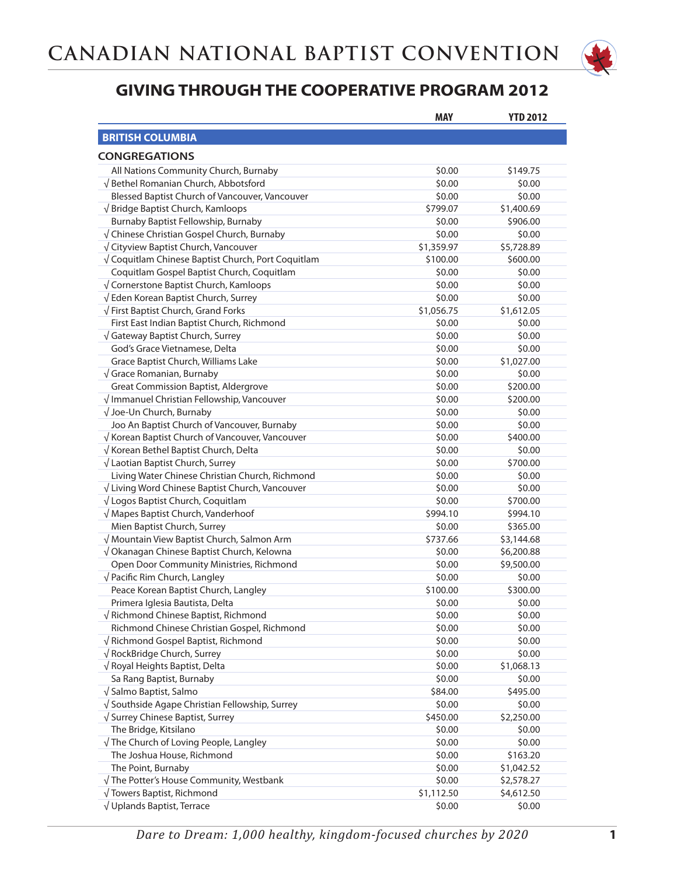

|                                                    | <b>MAY</b> | <b>YTD 2012</b> |
|----------------------------------------------------|------------|-----------------|
| <b>BRITISH COLUMBIA</b>                            |            |                 |
|                                                    |            |                 |
| <b>CONGREGATIONS</b>                               |            |                 |
| All Nations Community Church, Burnaby              | \$0.00     | \$149.75        |
| √ Bethel Romanian Church, Abbotsford               | \$0.00     | \$0.00          |
| Blessed Baptist Church of Vancouver, Vancouver     | \$0.00     | \$0.00          |
| √Bridge Baptist Church, Kamloops                   | \$799.07   | \$1,400.69      |
| Burnaby Baptist Fellowship, Burnaby                | \$0.00     | \$906.00        |
| √ Chinese Christian Gospel Church, Burnaby         | \$0.00     | \$0.00          |
| √ Cityview Baptist Church, Vancouver               | \$1,359.97 | \$5,728.89      |
| √ Coquitlam Chinese Baptist Church, Port Coquitlam | \$100.00   | \$600.00        |
| Coquitlam Gospel Baptist Church, Coquitlam         | \$0.00     | \$0.00          |
| √ Cornerstone Baptist Church, Kamloops             | \$0.00     | \$0.00          |
| √ Eden Korean Baptist Church, Surrey               | \$0.00     | \$0.00          |
| √ First Baptist Church, Grand Forks                | \$1,056.75 | \$1,612.05      |
| First East Indian Baptist Church, Richmond         | \$0.00     | \$0.00          |
| √ Gateway Baptist Church, Surrey                   | \$0.00     | \$0.00          |
| God's Grace Vietnamese, Delta                      | \$0.00     | \$0.00          |
| Grace Baptist Church, Williams Lake                | \$0.00     | \$1,027.00      |
| $\sqrt{\frac{1}{1}}$ Grace Romanian, Burnaby       | \$0.00     | \$0.00          |
| <b>Great Commission Baptist, Aldergrove</b>        | \$0.00     | \$200.00        |
| $\sqrt{}$ Immanuel Christian Fellowship, Vancouver | \$0.00     | \$200.00        |
| √ Joe-Un Church, Burnaby                           | \$0.00     | \$0.00          |
| Joo An Baptist Church of Vancouver, Burnaby        | \$0.00     | \$0.00          |
| √ Korean Baptist Church of Vancouver, Vancouver    | \$0.00     | \$400.00        |
| √ Korean Bethel Baptist Church, Delta              | \$0.00     | \$0.00          |
| √ Laotian Baptist Church, Surrey                   | \$0.00     | \$700.00        |
| Living Water Chinese Christian Church, Richmond    | \$0.00     | \$0.00          |
| √ Living Word Chinese Baptist Church, Vancouver    | \$0.00     | \$0.00          |
| √ Logos Baptist Church, Coquitlam                  | \$0.00     | \$700.00        |
| √ Mapes Baptist Church, Vanderhoof                 | \$994.10   | \$994.10        |
| Mien Baptist Church, Surrey                        | \$0.00     | \$365.00        |
| √ Mountain View Baptist Church, Salmon Arm         | \$737.66   | \$3,144.68      |
| √ Okanagan Chinese Baptist Church, Kelowna         | \$0.00     | \$6,200.88      |
| Open Door Community Ministries, Richmond           | \$0.00     | \$9,500.00      |
| √ Pacific Rim Church, Langley                      | \$0.00     | \$0.00          |
| Peace Korean Baptist Church, Langley               | \$100.00   | \$300.00        |
| Primera Iglesia Bautista, Delta                    | \$0.00     | \$0.00          |
| √ Richmond Chinese Baptist, Richmond               | \$0.00     | \$0.00          |
| Richmond Chinese Christian Gospel, Richmond        | \$0.00     | \$0.00          |
| √ Richmond Gospel Baptist, Richmond                | \$0.00     | \$0.00          |
| √ RockBridge Church, Surrey                        | \$0.00     | \$0.00          |
| $\sqrt{}$ Royal Heights Baptist, Delta             | \$0.00     | \$1,068.13      |
| Sa Rang Baptist, Burnaby                           | \$0.00     | \$0.00          |
| $\sqrt{\frac{1}{2}}$ Salmo Baptist, Salmo          | \$84.00    | \$495.00        |
| √ Southside Agape Christian Fellowship, Surrey     | \$0.00     | \$0.00          |
| √ Surrey Chinese Baptist, Surrey                   | \$450.00   | \$2,250.00      |
| The Bridge, Kitsilano                              | \$0.00     | \$0.00          |
| $\sqrt{}$ The Church of Loving People, Langley     | \$0.00     | \$0.00          |
| The Joshua House, Richmond                         | \$0.00     | \$163.20        |
| The Point, Burnaby                                 | \$0.00     | \$1,042.52      |
| $\sqrt{}$ The Potter's House Community, Westbank   | \$0.00     | \$2,578.27      |
| √ Towers Baptist, Richmond                         | \$1,112.50 | \$4,612.50      |
| √ Uplands Baptist, Terrace                         | \$0.00     | \$0.00          |
|                                                    |            |                 |

*Dare to Dream: 1,000 healthy, kingdom-focused churches by 2020* **1**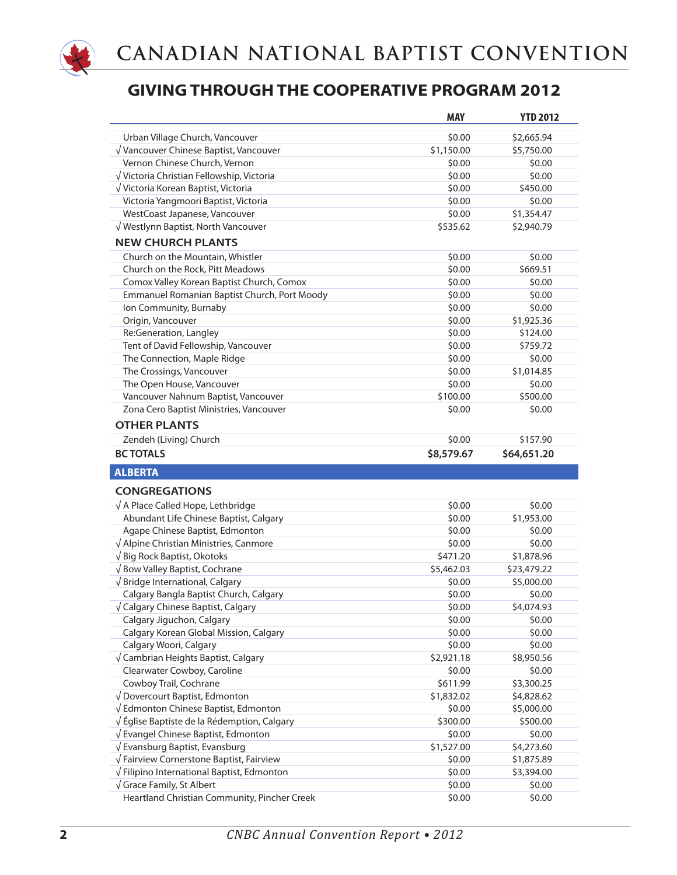

|                                              | <b>MAY</b> | <b>YTD 2012</b> |
|----------------------------------------------|------------|-----------------|
| Urban Village Church, Vancouver              | \$0.00     | \$2,665.94      |
| √ Vancouver Chinese Baptist, Vancouver       | \$1,150.00 | \$5,750.00      |
| Vernon Chinese Church, Vernon                | \$0.00     | \$0.00          |
| √ Victoria Christian Fellowship, Victoria    | \$0.00     | \$0.00          |
| √ Victoria Korean Baptist, Victoria          | \$0.00     | \$450.00        |
| Victoria Yangmoori Baptist, Victoria         | \$0.00     | \$0.00          |
| WestCoast Japanese, Vancouver                | \$0.00     | \$1,354.47      |
| √ Westlynn Baptist, North Vancouver          | \$535.62   | \$2,940.79      |
| <b>NEW CHURCH PLANTS</b>                     |            |                 |
| Church on the Mountain, Whistler             | \$0.00     | \$0.00          |
| Church on the Rock, Pitt Meadows             | \$0.00     | \$669.51        |
| Comox Valley Korean Baptist Church, Comox    | \$0.00     | \$0.00          |
| Emmanuel Romanian Baptist Church, Port Moody | \$0.00     | \$0.00          |
| Ion Community, Burnaby                       | \$0.00     | \$0.00          |
| Origin, Vancouver                            | \$0.00     | \$1,925.36      |
| Re:Generation, Langley                       | \$0.00     | \$124.00        |
| Tent of David Fellowship, Vancouver          | \$0.00     | \$759.72        |
| The Connection, Maple Ridge                  | \$0.00     | \$0.00          |
| The Crossings, Vancouver                     | \$0.00     | \$1,014.85      |
| The Open House, Vancouver                    | \$0.00     | \$0.00          |
| Vancouver Nahnum Baptist, Vancouver          | \$100.00   | \$500.00        |
| Zona Cero Baptist Ministries, Vancouver      | \$0.00     | \$0.00          |
| <b>OTHER PLANTS</b>                          |            |                 |
| Zendeh (Living) Church                       | \$0.00     | \$157.90        |
| <b>BC TOTALS</b>                             | \$8,579.67 | \$64,651.20     |
|                                              |            |                 |
| <b>ALBERTA</b>                               |            |                 |
| <b>CONGREGATIONS</b>                         |            |                 |
| $\sqrt{ }$ A Place Called Hope, Lethbridge   | \$0.00     | \$0.00          |
| Abundant Life Chinese Baptist, Calgary       | \$0.00     | \$1,953.00      |
| Agape Chinese Baptist, Edmonton              | \$0.00     | \$0.00          |
| √ Alpine Christian Ministries, Canmore       | \$0.00     | \$0.00          |
| √ Big Rock Baptist, Okotoks                  | \$471.20   | \$1,878.96      |
| √ Bow Valley Baptist, Cochrane               | \$5,462.03 | \$23,479.22     |
| √Bridge International, Calgary               | \$0.00     | \$5,000.00      |
| Calgary Bangla Baptist Church, Calgary       | \$0.00     | \$0.00          |
| √ Calgary Chinese Baptist, Calgary           | \$0.00     | \$4,074.93      |
| Calgary Jiguchon, Calgary                    | \$0.00     | \$0.00          |
| Calgary Korean Global Mission, Calgary       | \$0.00     | \$0.00          |
| Calgary Woori, Calgary                       | \$0.00     | \$0.00          |
| √ Cambrian Heights Baptist, Calgary          | \$2,921.18 | \$8,950.56      |
| Clearwater Cowboy, Caroline                  | \$0.00     | \$0.00          |
| Cowboy Trail, Cochrane                       | \$611.99   | \$3,300.25      |
| √ Dovercourt Baptist, Edmonton               | \$1,832.02 | \$4,828.62      |
| √ Edmonton Chinese Baptist, Edmonton         | \$0.00     | \$5,000.00      |
| √Église Baptiste de la Rédemption, Calgary   | \$300.00   | \$500.00        |
| √ Evangel Chinese Baptist, Edmonton          | \$0.00     | \$0.00          |
| $\sqrt{}$ Evansburg Baptist, Evansburg       | \$1,527.00 | \$4,273.60      |
| √ Fairview Cornerstone Baptist, Fairview     | \$0.00     | \$1,875.89      |
| √ Filipino International Baptist, Edmonton   | \$0.00     | \$3,394.00      |
| $\sqrt{\frac{1}{1}}$ Grace Family, St Albert | \$0.00     | \$0.00          |
| Heartland Christian Community, Pincher Creek | \$0.00     | \$0.00          |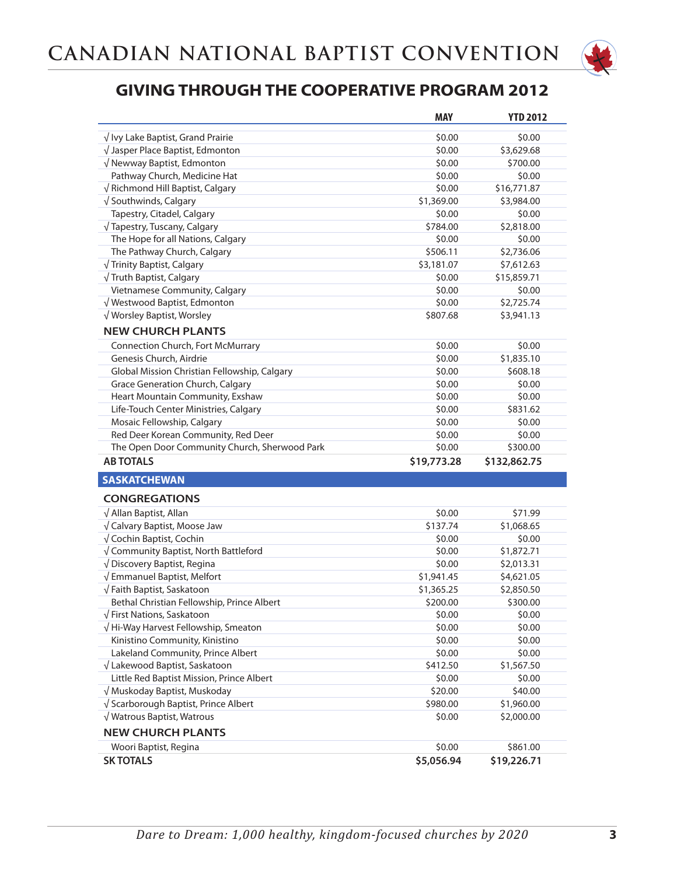

|                                               | <b>MAY</b>  | <b>YTD 2012</b> |
|-----------------------------------------------|-------------|-----------------|
| $\sqrt{}$ Ivy Lake Baptist, Grand Prairie     | \$0.00      | \$0.00          |
| $\sqrt{}$ Jasper Place Baptist, Edmonton      | \$0.00      | \$3,629.68      |
| √ Newway Baptist, Edmonton                    | \$0.00      | \$700.00        |
| Pathway Church, Medicine Hat                  | \$0.00      | \$0.00          |
| $\sqrt{}$ Richmond Hill Baptist, Calgary      | \$0.00      | \$16,771.87     |
| $\sqrt{}$ Southwinds, Calgary                 | \$1,369.00  | \$3,984.00      |
| Tapestry, Citadel, Calgary                    | \$0.00      | \$0.00          |
| √ Tapestry, Tuscany, Calgary                  | \$784.00    | \$2,818.00      |
| The Hope for all Nations, Calgary             | \$0.00      | \$0.00          |
| The Pathway Church, Calgary                   | \$506.11    | \$2,736.06      |
| √ Trinity Baptist, Calgary                    | \$3,181.07  | \$7,612.63      |
| √ Truth Baptist, Calgary                      | \$0.00      | \$15,859.71     |
| Vietnamese Community, Calgary                 | \$0.00      | \$0.00          |
| √ Westwood Baptist, Edmonton                  | \$0.00      | \$2,725.74      |
| √ Worsley Baptist, Worsley                    | \$807.68    | \$3,941.13      |
| <b>NEW CHURCH PLANTS</b>                      |             |                 |
| Connection Church, Fort McMurrary             | \$0.00      | \$0.00          |
| Genesis Church, Airdrie                       | \$0.00      | \$1,835.10      |
| Global Mission Christian Fellowship, Calgary  | \$0.00      | \$608.18        |
| Grace Generation Church, Calgary              | \$0.00      | \$0.00          |
| Heart Mountain Community, Exshaw              | \$0.00      | \$0.00          |
| Life-Touch Center Ministries, Calgary         | \$0.00      | \$831.62        |
| Mosaic Fellowship, Calgary                    | \$0.00      | \$0.00          |
| Red Deer Korean Community, Red Deer           | \$0.00      | \$0.00          |
| The Open Door Community Church, Sherwood Park | \$0.00      | \$300.00        |
| <b>AB TOTALS</b>                              | \$19,773.28 | \$132,862.75    |
| <b>SASKATCHEWAN</b>                           |             |                 |
| <b>CONGREGATIONS</b>                          |             |                 |
| $\sqrt{}$ Allan Baptist, Allan                | \$0.00      | \$71.99         |
| √ Calvary Baptist, Moose Jaw                  | \$137.74    | \$1,068.65      |
| √ Cochin Baptist, Cochin                      | \$0.00      | \$0.00          |
| √ Community Baptist, North Battleford         | \$0.00      | \$1,872.71      |
| √ Discovery Baptist, Regina                   | \$0.00      | \$2,013.31      |
| √ Emmanuel Baptist, Melfort                   | \$1,941.45  | \$4,621.05      |
| √Faith Baptist, Saskatoon                     | \$1,365.25  | \$2,850.50      |
| Bethal Christian Fellowship, Prince Albert    | \$200.00    | \$300.00        |
| √ First Nations, Saskatoon                    | \$0.00      | \$0.00          |
| √ Hi-Way Harvest Fellowship, Smeaton          | \$0.00      | \$0.00          |
| Kinistino Community, Kinistino                | \$0.00      | \$0.00          |
| Lakeland Community, Prince Albert             | \$0.00      | \$0.00          |
| √ Lakewood Baptist, Saskatoon                 | \$412.50    | \$1,567.50      |
| Little Red Baptist Mission, Prince Albert     | \$0.00      | \$0.00          |
| √ Muskoday Baptist, Muskoday                  | \$20.00     | \$40.00         |
|                                               |             |                 |
| √ Scarborough Baptist, Prince Albert          | \$980.00    | \$1,960.00      |
| √ Watrous Baptist, Watrous                    | \$0.00      | \$2,000.00      |
| <b>NEW CHURCH PLANTS</b>                      | \$0.00      |                 |
| Woori Baptist, Regina                         |             | \$861.00        |
| <b>SK TOTALS</b>                              | \$5,056.94  | \$19,226.71     |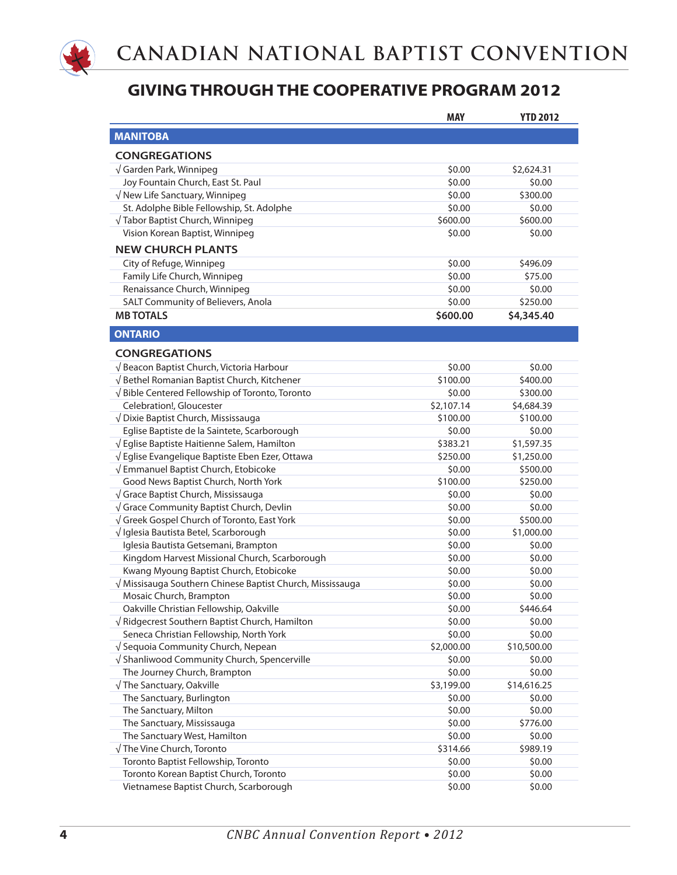

|                                                                             | <b>MAY</b>           | <b>YTD 2012</b>       |
|-----------------------------------------------------------------------------|----------------------|-----------------------|
| <b>MANITOBA</b>                                                             |                      |                       |
| <b>CONGREGATIONS</b>                                                        |                      |                       |
| $\sqrt{\mathsf{G}}$ arden Park, Winnipeg                                    | \$0.00               | \$2,624.31            |
| Joy Fountain Church, East St. Paul                                          | \$0.00               | \$0.00                |
| $\sqrt{}$ New Life Sanctuary, Winnipeg                                      | \$0.00               | \$300.00              |
| St. Adolphe Bible Fellowship, St. Adolphe                                   | \$0.00               | \$0.00                |
|                                                                             | \$600.00             | \$600.00              |
| √ Tabor Baptist Church, Winnipeg                                            | \$0.00               | \$0.00                |
| Vision Korean Baptist, Winnipeg                                             |                      |                       |
| <b>NEW CHURCH PLANTS</b>                                                    |                      |                       |
| City of Refuge, Winnipeg                                                    | \$0.00               | \$496.09              |
| Family Life Church, Winnipeg                                                | \$0.00               | \$75.00               |
| Renaissance Church, Winnipeg                                                | \$0.00               | \$0.00                |
| SALT Community of Believers, Anola                                          | \$0.00               | \$250.00              |
| <b>MB TOTALS</b>                                                            | \$600.00             | \$4,345.40            |
| <b>ONTARIO</b>                                                              |                      |                       |
| <b>CONGREGATIONS</b>                                                        |                      |                       |
| √ Beacon Baptist Church, Victoria Harbour                                   | \$0.00               | \$0.00                |
| √Bethel Romanian Baptist Church, Kitchener                                  | \$100.00             | \$400.00              |
| √Bible Centered Fellowship of Toronto, Toronto                              | \$0.00               | \$300.00              |
| Celebration!, Gloucester                                                    | \$2,107.14           | \$4,684.39            |
| √ Dixie Baptist Church, Mississauga                                         | \$100.00             | \$100.00              |
| Eglise Baptiste de la Saintete, Scarborough                                 | \$0.00               | \$0.00                |
| √ Eglise Baptiste Haitienne Salem, Hamilton                                 | \$383.21             | \$1,597.35            |
| √ Eglise Evangelique Baptiste Eben Ezer, Ottawa                             | \$250.00             | \$1,250.00            |
| √ Emmanuel Baptist Church, Etobicoke                                        | \$0.00               | \$500.00              |
| Good News Baptist Church, North York                                        | \$100.00             | \$250.00              |
| √ Grace Baptist Church, Mississauga                                         | \$0.00               | \$0.00                |
| √ Grace Community Baptist Church, Devlin                                    | \$0.00               | \$0.00                |
| √ Greek Gospel Church of Toronto, East York                                 | \$0.00               | \$500.00              |
| √ Iglesia Bautista Betel, Scarborough                                       | \$0.00               | \$1,000.00            |
| Iglesia Bautista Getsemani, Brampton                                        | \$0.00               | \$0.00                |
| Kingdom Harvest Missional Church, Scarborough                               | \$0.00               | \$0.00                |
| Kwang Myoung Baptist Church, Etobicoke                                      | \$0.00               | \$0.00                |
| √ Missisauga Southern Chinese Baptist Church, Mississauga                   | \$0.00               | \$0.00                |
| Mosaic Church, Brampton                                                     | \$0.00               | \$0.00                |
| Oakville Christian Fellowship, Oakville                                     | \$0.00               | \$446.64              |
| $\sqrt{}$ Ridgecrest Southern Baptist Church, Hamilton                      | \$0.00               | \$0.00                |
| Seneca Christian Fellowship, North York                                     | \$0.00               | \$0.00                |
| √ Sequoia Community Church, Nepean                                          | \$2,000.00           | \$10,500.00           |
|                                                                             | \$0.00               | \$0.00                |
| √ Shanliwood Community Church, Spencerville<br>The Journey Church, Brampton | \$0.00               |                       |
|                                                                             |                      | \$0.00                |
| √ The Sanctuary, Oakville<br>The Sanctuary, Burlington                      | \$3,199.00<br>\$0.00 | \$14,616.25<br>\$0.00 |
|                                                                             |                      |                       |
| The Sanctuary, Milton                                                       | \$0.00               | \$0.00                |
| The Sanctuary, Mississauga                                                  | \$0.00               | \$776.00              |
| The Sanctuary West, Hamilton                                                | \$0.00               | \$0.00                |
| √ The Vine Church, Toronto                                                  | \$314.66             | \$989.19              |
| Toronto Baptist Fellowship, Toronto                                         | \$0.00               | \$0.00                |
| Toronto Korean Baptist Church, Toronto                                      | \$0.00               | \$0.00                |
| Vietnamese Baptist Church, Scarborough                                      | \$0.00               | \$0.00                |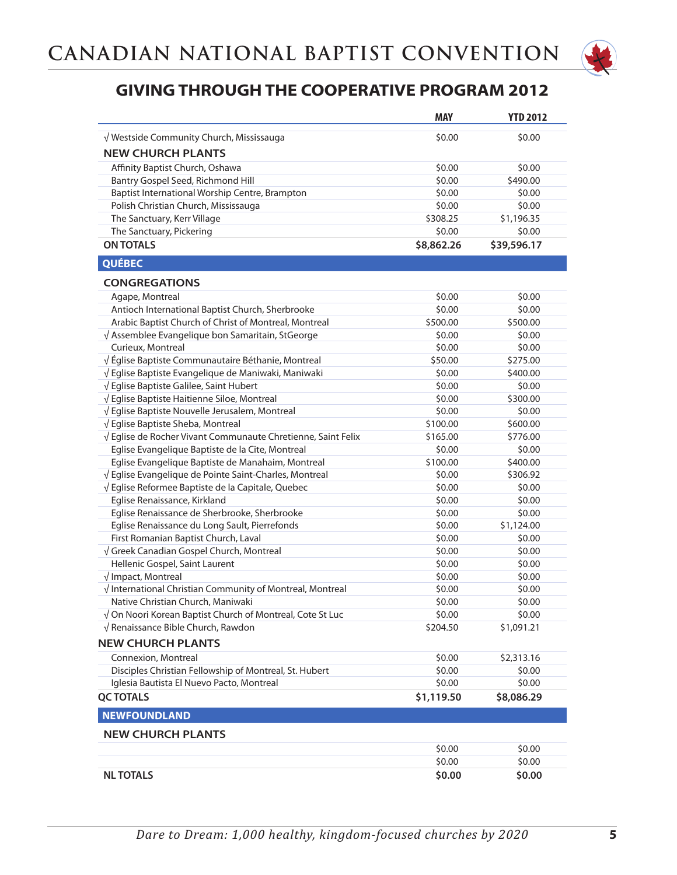

|                                                              | <b>MAY</b> | <b>YTD 2012</b> |
|--------------------------------------------------------------|------------|-----------------|
| √ Westside Community Church, Mississauga                     | \$0.00     | \$0.00          |
| <b>NEW CHURCH PLANTS</b>                                     |            |                 |
| Affinity Baptist Church, Oshawa                              | \$0.00     | \$0.00          |
| Bantry Gospel Seed, Richmond Hill                            | \$0.00     | \$490.00        |
| Baptist International Worship Centre, Brampton               | \$0.00     | \$0.00          |
| Polish Christian Church, Mississauga                         | \$0.00     | \$0.00          |
| The Sanctuary, Kerr Village                                  | \$308.25   | \$1,196.35      |
| The Sanctuary, Pickering                                     | \$0.00     | \$0.00          |
| <b>ON TOTALS</b>                                             | \$8,862.26 | \$39,596.17     |
| <b>QUÉBEC</b>                                                |            |                 |
|                                                              |            |                 |
| <b>CONGREGATIONS</b>                                         |            |                 |
| Agape, Montreal                                              | \$0.00     | \$0.00          |
| Antioch International Baptist Church, Sherbrooke             | \$0.00     | \$0.00          |
| Arabic Baptist Church of Christ of Montreal, Montreal        | \$500.00   | \$500.00        |
| $\sqrt{ }$ Assemblee Evangelique bon Samaritain, StGeorge    | \$0.00     | \$0.00          |
| Curieux, Montreal                                            | \$0.00     | \$0.00          |
| √Église Baptiste Communautaire Béthanie, Montreal            | \$50.00    | \$275.00        |
| √ Eglise Baptiste Evangelique de Maniwaki, Maniwaki          | \$0.00     | \$400.00        |
| √ Eglise Baptiste Galilee, Saint Hubert                      | \$0.00     | \$0.00          |
| √ Eglise Baptiste Haitienne Siloe, Montreal                  | \$0.00     | \$300.00        |
| √ Eglise Baptiste Nouvelle Jerusalem, Montreal               | \$0.00     | \$0.00          |
| √ Eglise Baptiste Sheba, Montreal                            | \$100.00   | \$600.00        |
| √ Eglise de Rocher Vivant Communaute Chretienne, Saint Felix | \$165.00   | \$776.00        |
| Eglise Evangelique Baptiste de la Cite, Montreal             | \$0.00     | \$0.00          |
| Eglise Evangelique Baptiste de Manahaim, Montreal            | \$100.00   | \$400.00        |
| √ Eglise Evangelique de Pointe Saint-Charles, Montreal       | \$0.00     | \$306.92        |
| √ Eglise Reformee Baptiste de la Capitale, Quebec            | \$0.00     | \$0.00          |
| Eglise Renaissance, Kirkland                                 | \$0.00     | \$0.00          |
| Eglise Renaissance de Sherbrooke, Sherbrooke                 | \$0.00     | \$0.00          |
| Eglise Renaissance du Long Sault, Pierrefonds                | \$0.00     | \$1,124.00      |
| First Romanian Baptist Church, Laval                         | \$0.00     | \$0.00          |
| $\sqrt$ Greek Canadian Gospel Church, Montreal               | \$0.00     | \$0.00          |
| Hellenic Gospel, Saint Laurent                               | \$0.00     | \$0.00          |
| $\sqrt{}$ Impact, Montreal                                   | \$0.00     | \$0.00          |
| √ International Christian Community of Montreal, Montreal    | \$0.00     | \$0.00          |
| Native Christian Church, Maniwaki                            | \$0.00     | \$0.00          |
| √ On Noori Korean Baptist Church of Montreal, Cote St Luc    | \$0.00     | \$0.00          |
| √ Renaissance Bible Church, Rawdon                           | \$204.50   | \$1,091.21      |
| <b>NEW CHURCH PLANTS</b>                                     |            |                 |
| Connexion, Montreal                                          | \$0.00     | \$2,313.16      |
| Disciples Christian Fellowship of Montreal, St. Hubert       | \$0.00     | \$0.00          |
| Iglesia Bautista El Nuevo Pacto, Montreal                    | \$0.00     | \$0.00          |
| <b>QC TOTALS</b>                                             | \$1,119.50 | \$8,086.29      |
| <b>NEWFOUNDLAND</b>                                          |            |                 |
| <b>NEW CHURCH PLANTS</b>                                     |            |                 |
|                                                              | \$0.00     | \$0.00          |
|                                                              | \$0.00     | \$0.00          |
| <b>NL TOTALS</b>                                             | \$0.00     | \$0.00          |